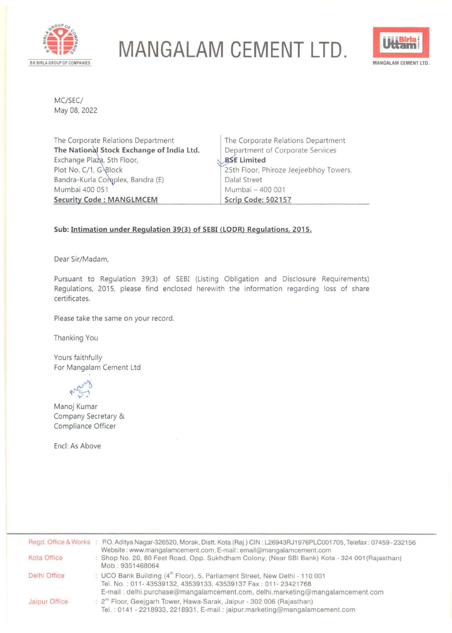

## **MANGALAM CEMENT LTD.**



MC/SEC/ May 08, 2022

The Corporate Relations Department **The National Stock Exchange of India Ltd.** Exchange Plaza, 5th Floor, Plot No. C/1, G-Block Bandra-Kurla Complex, Bandra (E) Mumbai 400 051 **Security Code: MANGLMCEM** 

The Corporate Relations Department Department of Corporate Services **Limited** 25th Floor, Phiroze Jeejeebhoy Towers, Dalal Street Mumbai - 400 001 **Scrip Code: 502157** 

## **Sub: Intimation under Regulation 39(3) of SEBI (LODR) Regulations. 2015.**

Dear Sir/Madam,

Pursuant to Regulation 39(3) of SEBI (Listing Obligation and Disclosure Requirements) Regulations, 2015, please find enclosed herewith the information regarding loss of share certificates.

Please take the same on your record.

Thanking You

Yours faithfully For Mangalam Cement Ltd

~1 **v'·** 

Manoj Kumar Company Secretary & Compliance Officer

Encl: As Above

|               | Regd. Office & Works : P.O. Aditya Nagar-326520, Morak, Distt. Kota (Raj.) CIN: L26943RJ1976PLC001705, Telefax: 07459-232156                                    |
|---------------|-----------------------------------------------------------------------------------------------------------------------------------------------------------------|
|               | Website: www.mangalamcement.com, E-mail: email@mangalamcement.com                                                                                               |
| Kota Office   | : Shop No. 20, 80 Feet Road, Opp. Sukhdham Colony, (Near SBI Bank) Kota - 324 001 (Rajasthan)<br>Mob: 9351468064                                                |
| Delhi Office  | : UCO Bank Building (4 <sup>th</sup> Floor), 5, Parliament Street, New Delhi - 110 001<br>Tel. No.: 011-43539132, 43539133, 43539137 Fax: 011-23421768          |
|               | E-mail: delhi.purchase@mangalamcement.com, delhi.marketing@mangalamcement.com                                                                                   |
| Jaipur Office | : 2 <sup>nd</sup> Floor, Geejgarh Tower, Hawa-Sarak, Jaipur - 302 006 (Rajasthan)<br>Tel.: 0141 - 2218933, 2218931, E-mail: jaipur.marketing@mangalamcement.com |